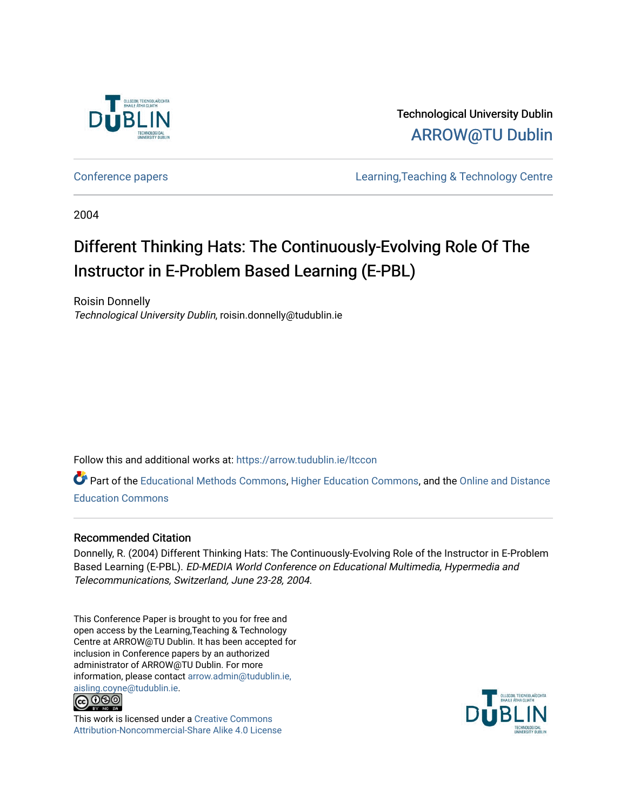

Technological University Dublin [ARROW@TU Dublin](https://arrow.tudublin.ie/) 

[Conference papers](https://arrow.tudublin.ie/ltccon) [Learning,Teaching & Technology Centre](https://arrow.tudublin.ie/ltc) 

2004

# Different Thinking Hats: The Continuously-Evolving Role Of The Instructor in E-Problem Based Learning (E-PBL)

Roisin Donnelly Technological University Dublin, roisin.donnelly@tudublin.ie

Follow this and additional works at: [https://arrow.tudublin.ie/ltccon](https://arrow.tudublin.ie/ltccon?utm_source=arrow.tudublin.ie%2Fltccon%2F23&utm_medium=PDF&utm_campaign=PDFCoverPages)

Part of the [Educational Methods Commons,](http://network.bepress.com/hgg/discipline/1227?utm_source=arrow.tudublin.ie%2Fltccon%2F23&utm_medium=PDF&utm_campaign=PDFCoverPages) [Higher Education Commons](http://network.bepress.com/hgg/discipline/1245?utm_source=arrow.tudublin.ie%2Fltccon%2F23&utm_medium=PDF&utm_campaign=PDFCoverPages), and the [Online and Distance](http://network.bepress.com/hgg/discipline/1296?utm_source=arrow.tudublin.ie%2Fltccon%2F23&utm_medium=PDF&utm_campaign=PDFCoverPages)  [Education Commons](http://network.bepress.com/hgg/discipline/1296?utm_source=arrow.tudublin.ie%2Fltccon%2F23&utm_medium=PDF&utm_campaign=PDFCoverPages) 

#### Recommended Citation

Donnelly, R. (2004) Different Thinking Hats: The Continuously-Evolving Role of the Instructor in E-Problem Based Learning (E-PBL). ED-MEDIA World Conference on Educational Multimedia, Hypermedia and Telecommunications, Switzerland, June 23-28, 2004.

This Conference Paper is brought to you for free and open access by the Learning,Teaching & Technology Centre at ARROW@TU Dublin. It has been accepted for inclusion in Conference papers by an authorized administrator of ARROW@TU Dublin. For more information, please contact [arrow.admin@tudublin.ie,](mailto:arrow.admin@tudublin.ie,%20aisling.coyne@tudublin.ie)  [aisling.coyne@tudublin.ie.](mailto:arrow.admin@tudublin.ie,%20aisling.coyne@tudublin.ie)<br>© 090



This work is licensed under a [Creative Commons](http://creativecommons.org/licenses/by-nc-sa/4.0/) [Attribution-Noncommercial-Share Alike 4.0 License](http://creativecommons.org/licenses/by-nc-sa/4.0/)

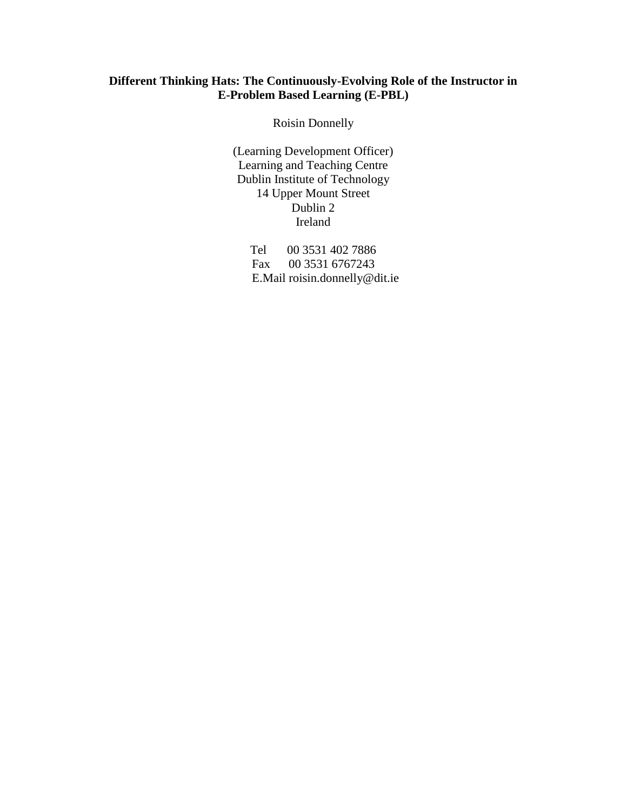# **Different Thinking Hats: The Continuously-Evolving Role of the Instructor in E-Problem Based Learning (E-PBL)**

Roisin Donnelly

(Learning Development Officer) Learning and Teaching Centre Dublin Institute of Technology 14 Upper Mount Street Dublin 2 Ireland

> Tel 00 3531 402 7886 Fax 00 3531 6767243 E.Mail roisin.donnelly@dit.ie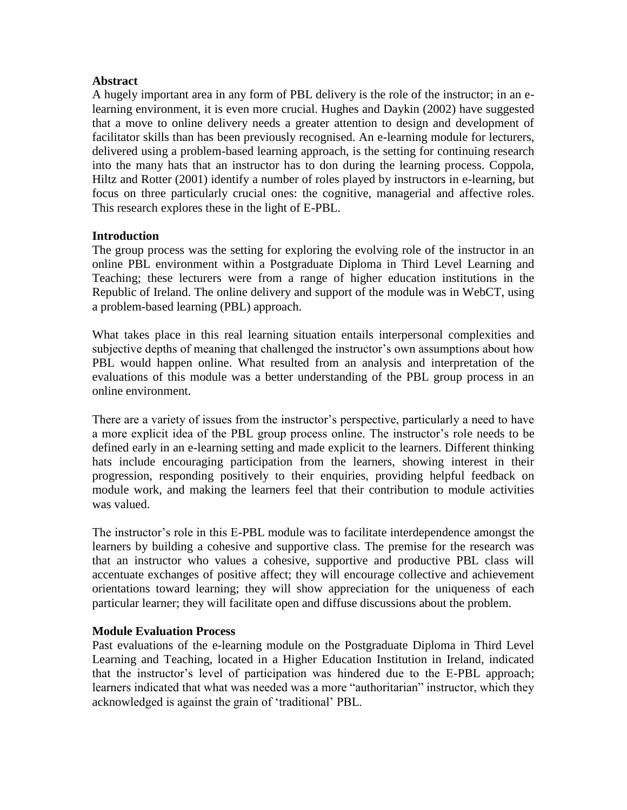### **Abstract**

A hugely important area in any form of PBL delivery is the role of the instructor; in an elearning environment, it is even more crucial. Hughes and Daykin (2002) have suggested that a move to online delivery needs a greater attention to design and development of facilitator skills than has been previously recognised. An e-learning module for lecturers, delivered using a problem-based learning approach, is the setting for continuing research into the many hats that an instructor has to don during the learning process. Coppola, Hiltz and Rotter (2001) identify a number of roles played by instructors in e-learning, but focus on three particularly crucial ones: the cognitive, managerial and affective roles. This research explores these in the light of E-PBL.

#### **Introduction**

The group process was the setting for exploring the evolving role of the instructor in an online PBL environment within a Postgraduate Diploma in Third Level Learning and Teaching; these lecturers were from a range of higher education institutions in the Republic of Ireland. The online delivery and support of the module was in WebCT, using a problem-based learning (PBL) approach.

What takes place in this real learning situation entails interpersonal complexities and subjective depths of meaning that challenged the instructor's own assumptions about how PBL would happen online. What resulted from an analysis and interpretation of the evaluations of this module was a better understanding of the PBL group process in an online environment.

There are a variety of issues from the instructor's perspective, particularly a need to have a more explicit idea of the PBL group process online. The instructor's role needs to be defined early in an e-learning setting and made explicit to the learners. Different thinking hats include encouraging participation from the learners, showing interest in their progression, responding positively to their enquiries, providing helpful feedback on module work, and making the learners feel that their contribution to module activities was valued.

The instructor's role in this E-PBL module was to facilitate interdependence amongst the learners by building a cohesive and supportive class. The premise for the research was that an instructor who values a cohesive, supportive and productive PBL class will accentuate exchanges of positive affect; they will encourage collective and achievement orientations toward learning; they will show appreciation for the uniqueness of each particular learner; they will facilitate open and diffuse discussions about the problem.

# **Module Evaluation Process**

Past evaluations of the e-learning module on the Postgraduate Diploma in Third Level Learning and Teaching, located in a Higher Education Institution in Ireland, indicated that the instructor's level of participation was hindered due to the E-PBL approach; learners indicated that what was needed was a more "authoritarian" instructor, which they acknowledged is against the grain of 'traditional' PBL.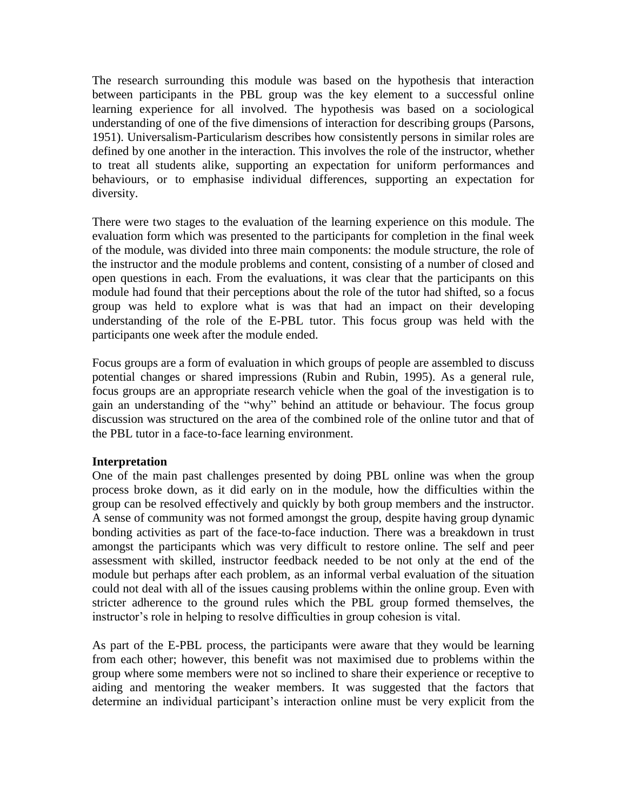The research surrounding this module was based on the hypothesis that interaction between participants in the PBL group was the key element to a successful online learning experience for all involved. The hypothesis was based on a sociological understanding of one of the five dimensions of interaction for describing groups (Parsons, 1951). Universalism-Particularism describes how consistently persons in similar roles are defined by one another in the interaction. This involves the role of the instructor, whether to treat all students alike, supporting an expectation for uniform performances and behaviours, or to emphasise individual differences, supporting an expectation for diversity.

There were two stages to the evaluation of the learning experience on this module. The evaluation form which was presented to the participants for completion in the final week of the module, was divided into three main components: the module structure, the role of the instructor and the module problems and content, consisting of a number of closed and open questions in each. From the evaluations, it was clear that the participants on this module had found that their perceptions about the role of the tutor had shifted, so a focus group was held to explore what is was that had an impact on their developing understanding of the role of the E-PBL tutor. This focus group was held with the participants one week after the module ended.

Focus groups are a form of evaluation in which groups of people are assembled to discuss potential changes or shared impressions (Rubin and Rubin, 1995). As a general rule, focus groups are an appropriate research vehicle when the goal of the investigation is to gain an understanding of the "why" behind an attitude or behaviour. The focus group discussion was structured on the area of the combined role of the online tutor and that of the PBL tutor in a face-to-face learning environment.

# **Interpretation**

One of the main past challenges presented by doing PBL online was when the group process broke down, as it did early on in the module, how the difficulties within the group can be resolved effectively and quickly by both group members and the instructor. A sense of community was not formed amongst the group, despite having group dynamic bonding activities as part of the face-to-face induction. There was a breakdown in trust amongst the participants which was very difficult to restore online. The self and peer assessment with skilled, instructor feedback needed to be not only at the end of the module but perhaps after each problem, as an informal verbal evaluation of the situation could not deal with all of the issues causing problems within the online group. Even with stricter adherence to the ground rules which the PBL group formed themselves, the instructor's role in helping to resolve difficulties in group cohesion is vital.

As part of the E-PBL process, the participants were aware that they would be learning from each other; however, this benefit was not maximised due to problems within the group where some members were not so inclined to share their experience or receptive to aiding and mentoring the weaker members. It was suggested that the factors that determine an individual participant's interaction online must be very explicit from the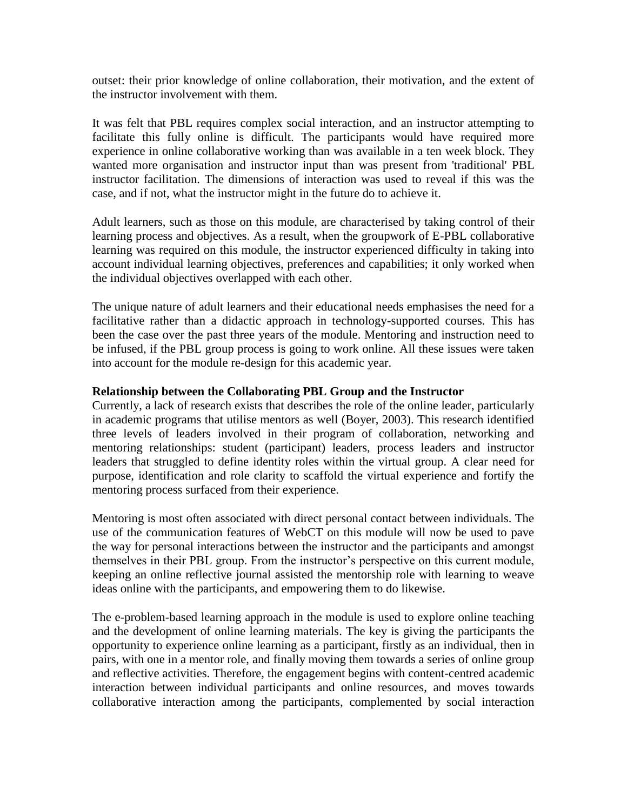outset: their prior knowledge of online collaboration, their motivation, and the extent of the instructor involvement with them.

It was felt that PBL requires complex social interaction, and an instructor attempting to facilitate this fully online is difficult. The participants would have required more experience in online collaborative working than was available in a ten week block. They wanted more organisation and instructor input than was present from 'traditional' PBL instructor facilitation. The dimensions of interaction was used to reveal if this was the case, and if not, what the instructor might in the future do to achieve it.

Adult learners, such as those on this module, are characterised by taking control of their learning process and objectives. As a result, when the groupwork of E-PBL collaborative learning was required on this module, the instructor experienced difficulty in taking into account individual learning objectives, preferences and capabilities; it only worked when the individual objectives overlapped with each other.

The unique nature of adult learners and their educational needs emphasises the need for a facilitative rather than a didactic approach in technology-supported courses. This has been the case over the past three years of the module. Mentoring and instruction need to be infused, if the PBL group process is going to work online. All these issues were taken into account for the module re-design for this academic year.

#### **Relationship between the Collaborating PBL Group and the Instructor**

Currently, a lack of research exists that describes the role of the online leader, particularly in academic programs that utilise mentors as well (Boyer, 2003). This research identified three levels of leaders involved in their program of collaboration, networking and mentoring relationships: student (participant) leaders, process leaders and instructor leaders that struggled to define identity roles within the virtual group. A clear need for purpose, identification and role clarity to scaffold the virtual experience and fortify the mentoring process surfaced from their experience.

Mentoring is most often associated with direct personal contact between individuals. The use of the communication features of WebCT on this module will now be used to pave the way for personal interactions between the instructor and the participants and amongst themselves in their PBL group. From the instructor's perspective on this current module, keeping an online reflective journal assisted the mentorship role with learning to weave ideas online with the participants, and empowering them to do likewise.

The e-problem-based learning approach in the module is used to explore online teaching and the development of online learning materials. The key is giving the participants the opportunity to experience online learning as a participant, firstly as an individual, then in pairs, with one in a mentor role, and finally moving them towards a series of online group and reflective activities. Therefore, the engagement begins with content-centred academic interaction between individual participants and online resources, and moves towards collaborative interaction among the participants, complemented by social interaction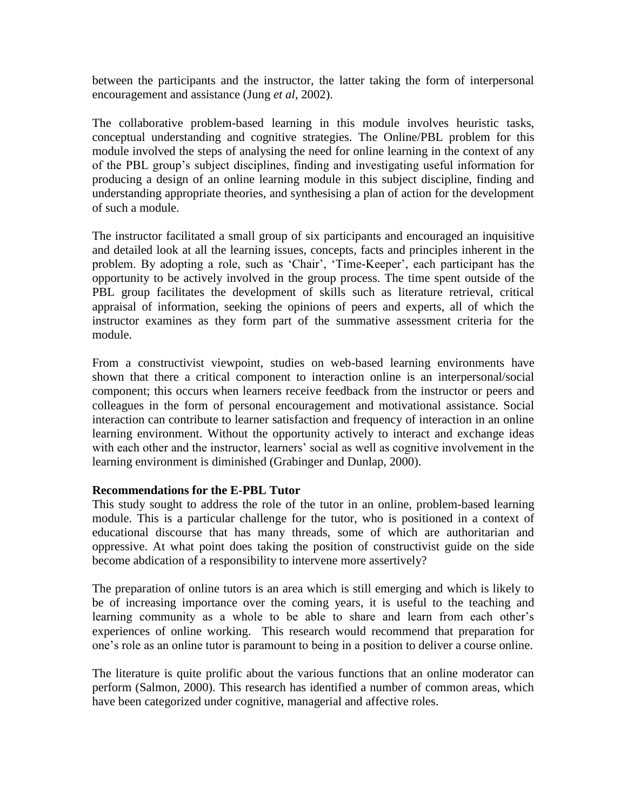between the participants and the instructor, the latter taking the form of interpersonal encouragement and assistance (Jung *et al*, 2002).

The collaborative problem-based learning in this module involves heuristic tasks, conceptual understanding and cognitive strategies. The Online/PBL problem for this module involved the steps of analysing the need for online learning in the context of any of the PBL group's subject disciplines, finding and investigating useful information for producing a design of an online learning module in this subject discipline, finding and understanding appropriate theories, and synthesising a plan of action for the development of such a module.

The instructor facilitated a small group of six participants and encouraged an inquisitive and detailed look at all the learning issues, concepts, facts and principles inherent in the problem. By adopting a role, such as 'Chair', 'Time-Keeper', each participant has the opportunity to be actively involved in the group process. The time spent outside of the PBL group facilitates the development of skills such as literature retrieval, critical appraisal of information, seeking the opinions of peers and experts, all of which the instructor examines as they form part of the summative assessment criteria for the module.

From a constructivist viewpoint, studies on web-based learning environments have shown that there a critical component to interaction online is an interpersonal/social component; this occurs when learners receive feedback from the instructor or peers and colleagues in the form of personal encouragement and motivational assistance. Social interaction can contribute to learner satisfaction and frequency of interaction in an online learning environment. Without the opportunity actively to interact and exchange ideas with each other and the instructor, learners' social as well as cognitive involvement in the learning environment is diminished (Grabinger and Dunlap, 2000).

#### **Recommendations for the E-PBL Tutor**

This study sought to address the role of the tutor in an online, problem-based learning module. This is a particular challenge for the tutor, who is positioned in a context of educational discourse that has many threads, some of which are authoritarian and oppressive. At what point does taking the position of constructivist guide on the side become abdication of a responsibility to intervene more assertively?

The preparation of online tutors is an area which is still emerging and which is likely to be of increasing importance over the coming years, it is useful to the teaching and learning community as a whole to be able to share and learn from each other's experiences of online working. This research would recommend that preparation for one's role as an online tutor is paramount to being in a position to deliver a course online.

The literature is quite prolific about the various functions that an online moderator can perform (Salmon, 2000). This research has identified a number of common areas, which have been categorized under cognitive, managerial and affective roles.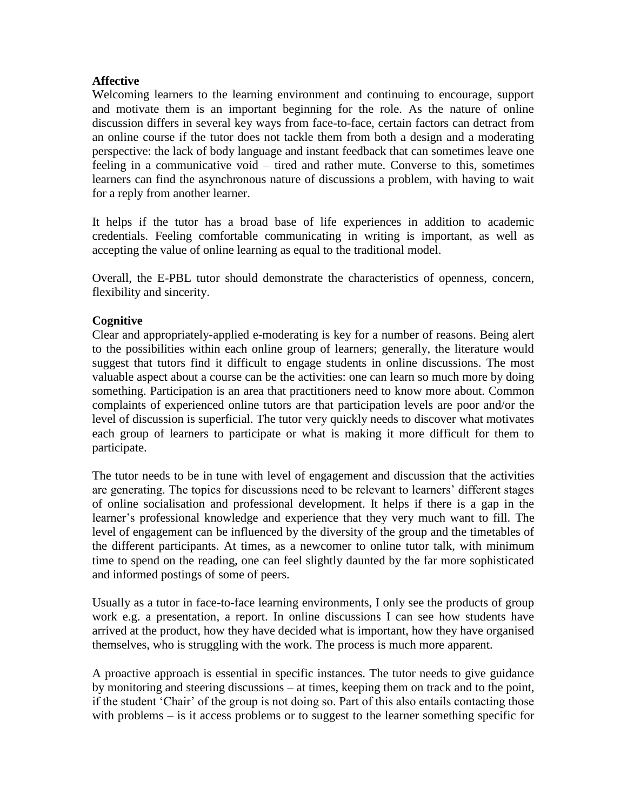## **Affective**

Welcoming learners to the learning environment and continuing to encourage, support and motivate them is an important beginning for the role. As the nature of online discussion differs in several key ways from face-to-face, certain factors can detract from an online course if the tutor does not tackle them from both a design and a moderating perspective: the lack of body language and instant feedback that can sometimes leave one feeling in a communicative void – tired and rather mute. Converse to this, sometimes learners can find the asynchronous nature of discussions a problem, with having to wait for a reply from another learner.

It helps if the tutor has a broad base of life experiences in addition to academic credentials. Feeling comfortable communicating in writing is important, as well as accepting the value of online learning as equal to the traditional model.

Overall, the E-PBL tutor should demonstrate the characteristics of openness, concern, flexibility and sincerity.

## **Cognitive**

Clear and appropriately-applied e-moderating is key for a number of reasons. Being alert to the possibilities within each online group of learners; generally, the literature would suggest that tutors find it difficult to engage students in online discussions. The most valuable aspect about a course can be the activities: one can learn so much more by doing something. Participation is an area that practitioners need to know more about. Common complaints of experienced online tutors are that participation levels are poor and/or the level of discussion is superficial. The tutor very quickly needs to discover what motivates each group of learners to participate or what is making it more difficult for them to participate.

The tutor needs to be in tune with level of engagement and discussion that the activities are generating. The topics for discussions need to be relevant to learners' different stages of online socialisation and professional development. It helps if there is a gap in the learner's professional knowledge and experience that they very much want to fill. The level of engagement can be influenced by the diversity of the group and the timetables of the different participants. At times, as a newcomer to online tutor talk, with minimum time to spend on the reading, one can feel slightly daunted by the far more sophisticated and informed postings of some of peers.

Usually as a tutor in face-to-face learning environments, I only see the products of group work e.g. a presentation, a report. In online discussions I can see how students have arrived at the product, how they have decided what is important, how they have organised themselves, who is struggling with the work. The process is much more apparent.

A proactive approach is essential in specific instances. The tutor needs to give guidance by monitoring and steering discussions – at times, keeping them on track and to the point, if the student 'Chair' of the group is not doing so. Part of this also entails contacting those with problems – is it access problems or to suggest to the learner something specific for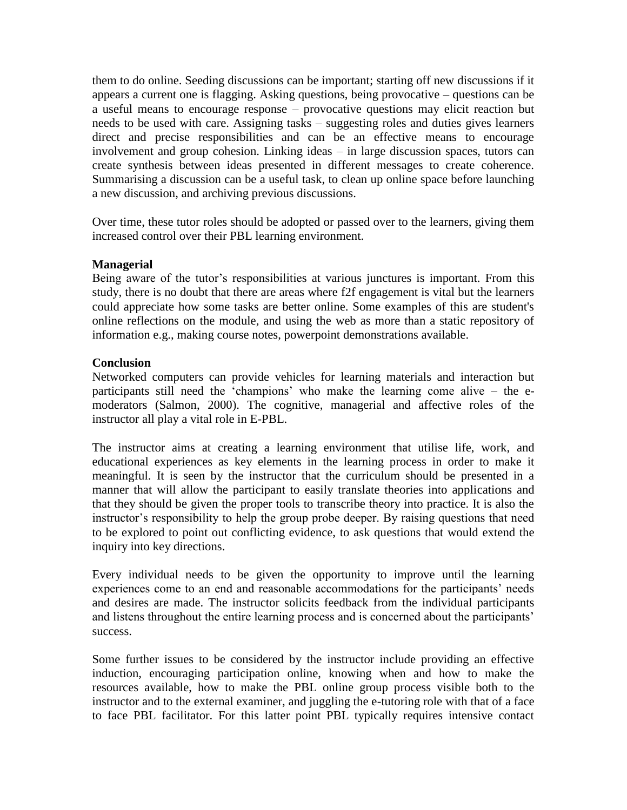them to do online. Seeding discussions can be important; starting off new discussions if it appears a current one is flagging. Asking questions, being provocative – questions can be a useful means to encourage response – provocative questions may elicit reaction but needs to be used with care. Assigning tasks – suggesting roles and duties gives learners direct and precise responsibilities and can be an effective means to encourage involvement and group cohesion. Linking ideas – in large discussion spaces, tutors can create synthesis between ideas presented in different messages to create coherence. Summarising a discussion can be a useful task, to clean up online space before launching a new discussion, and archiving previous discussions.

Over time, these tutor roles should be adopted or passed over to the learners, giving them increased control over their PBL learning environment.

#### **Managerial**

Being aware of the tutor's responsibilities at various junctures is important. From this study, there is no doubt that there are areas where f2f engagement is vital but the learners could appreciate how some tasks are better online. Some examples of this are student's online reflections on the module, and using the web as more than a static repository of information e.g., making course notes, powerpoint demonstrations available.

#### **Conclusion**

Networked computers can provide vehicles for learning materials and interaction but participants still need the 'champions' who make the learning come alive – the emoderators (Salmon, 2000). The cognitive, managerial and affective roles of the instructor all play a vital role in E-PBL.

The instructor aims at creating a learning environment that utilise life, work, and educational experiences as key elements in the learning process in order to make it meaningful. It is seen by the instructor that the curriculum should be presented in a manner that will allow the participant to easily translate theories into applications and that they should be given the proper tools to transcribe theory into practice. It is also the instructor's responsibility to help the group probe deeper. By raising questions that need to be explored to point out conflicting evidence, to ask questions that would extend the inquiry into key directions.

Every individual needs to be given the opportunity to improve until the learning experiences come to an end and reasonable accommodations for the participants' needs and desires are made. The instructor solicits feedback from the individual participants and listens throughout the entire learning process and is concerned about the participants' success.

Some further issues to be considered by the instructor include providing an effective induction, encouraging participation online, knowing when and how to make the resources available, how to make the PBL online group process visible both to the instructor and to the external examiner, and juggling the e-tutoring role with that of a face to face PBL facilitator. For this latter point PBL typically requires intensive contact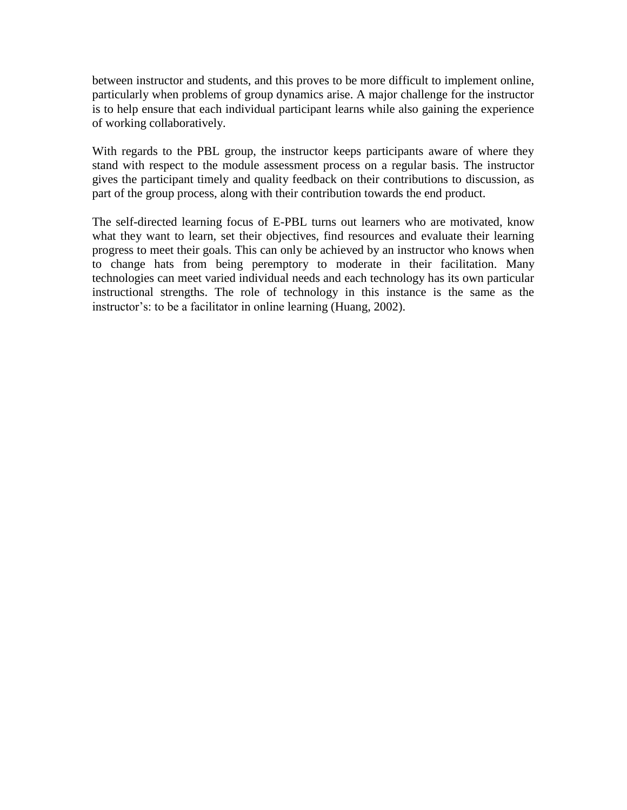between instructor and students, and this proves to be more difficult to implement online, particularly when problems of group dynamics arise. A major challenge for the instructor is to help ensure that each individual participant learns while also gaining the experience of working collaboratively.

With regards to the PBL group, the instructor keeps participants aware of where they stand with respect to the module assessment process on a regular basis. The instructor gives the participant timely and quality feedback on their contributions to discussion, as part of the group process, along with their contribution towards the end product.

The self-directed learning focus of E-PBL turns out learners who are motivated, know what they want to learn, set their objectives, find resources and evaluate their learning progress to meet their goals. This can only be achieved by an instructor who knows when to change hats from being peremptory to moderate in their facilitation. Many technologies can meet varied individual needs and each technology has its own particular instructional strengths. The role of technology in this instance is the same as the instructor's: to be a facilitator in online learning (Huang, 2002).